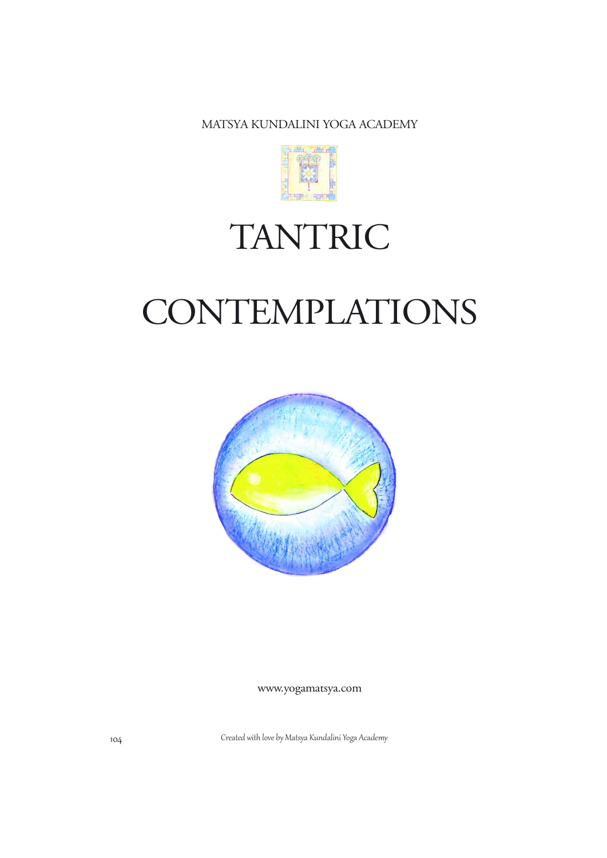MATSYA KUNDALINI YOGA ACADEMY



## TANTRIC

# CONTEMPLATIONS



www.yogamatsya.com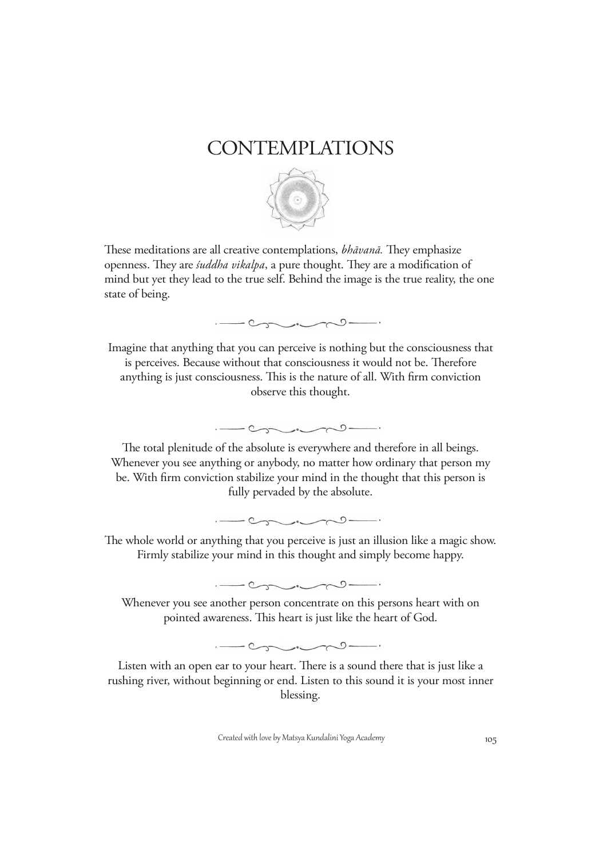### CONTEMPLATIONS



These meditations are all creative contemplations, bhāvanā. They emphasize openness. They are *śuddha vikalpa*, a pure thought. They are a modification of mind but yet they lead to the true self. Behind the image is the true reality, the one state of being.

> $-0$  $\overline{a}$

Imagine that anything that you can perceive is nothing but the consciousness that is perceives. Because without that consciousness it would not be. Therefore anything is just consciousness. This is the nature of all. With firm conviction observe this thought.

 $\frac{1}{1-\frac{1}{1-\frac{1}{1-\frac{1}{1-\frac{1}{1-\frac{1}{1-\frac{1}{1-\frac{1}{1-\frac{1}{1-\frac{1}{1-\frac{1}{1-\frac{1}{1-\frac{1}{1-\frac{1}{1-\frac{1}{1-\frac{1}{1-\frac{1}{1-\frac{1}{1-\frac{1}{1-\frac{1}{1-\frac{1}{1-\frac{1}{1-\frac{1}{1-\frac{1}{1-\frac{1}{1-\frac{1}{1-\frac{1}{1-\frac{1}{1-\frac{1}{1-\frac{1}{1-\frac{1}{1-\frac{1}{1-\frac{1}{1-\frac{1}{1-\frac{1}{1-\frac{1}{1-\frac{1$ 

The total plenitude of the absolute is everywhere and therefore in all beings. Whenever you see anything or anybody, no matter how ordinary that person my be. With firm conviction stabilize your mind in the thought that this person is fully pervaded by the absolute.

 $\frac{1}{1-\frac{1}{1-\frac{1}{1-\frac{1}{1-\frac{1}{1-\frac{1}{1-\frac{1}{1-\frac{1}{1-\frac{1}{1-\frac{1}{1-\frac{1}{1-\frac{1}{1-\frac{1}{1-\frac{1}{1-\frac{1}{1-\frac{1}{1-\frac{1}{1-\frac{1}{1-\frac{1}{1-\frac{1}{1-\frac{1}{1-\frac{1}{1-\frac{1}{1-\frac{1}{1-\frac{1}{1-\frac{1}{1-\frac{1}{1-\frac{1}{1-\frac{1}{1-\frac{1}{1-\frac{1}{1-\frac{1}{1-\frac{1}{1-\frac{1}{1-\frac{1}{1-\frac{1}{1-\frac{1$ 

The whole world or anything that you perceive is just an illusion like a magic show. Firmly stabilize your mind in this thought and simply become happy.

 $\frac{1}{1-\frac{1}{1-\frac{1}{1-\frac{1}{1-\frac{1}{1-\frac{1}{1-\frac{1}{1-\frac{1}{1-\frac{1}{1-\frac{1}{1-\frac{1}{1-\frac{1}{1-\frac{1}{1-\frac{1}{1-\frac{1}{1-\frac{1}{1-\frac{1}{1-\frac{1}{1-\frac{1}{1-\frac{1}{1-\frac{1}{1-\frac{1}{1-\frac{1}{1-\frac{1}{1-\frac{1}{1-\frac{1}{1-\frac{1}{1-\frac{1}{1-\frac{1}{1-\frac{1}{1-\frac{1}{1-\frac{1}{1-\frac{1}{1-\frac{1}{1-\frac{1}{1-\frac{1}{1-\frac{1$ 

Whenever you see another person concentrate on this persons heart with on pointed awareness. This heart is just like the heart of God.

 $\frac{1}{1-\frac{1}{1-\frac{1}{1-\frac{1}{1-\frac{1}{1-\frac{1}{1-\frac{1}{1-\frac{1}{1-\frac{1}{1-\frac{1}{1-\frac{1}{1-\frac{1}{1-\frac{1}{1-\frac{1}{1-\frac{1}{1-\frac{1}{1-\frac{1}{1-\frac{1}{1-\frac{1}{1-\frac{1}{1-\frac{1}{1-\frac{1}{1-\frac{1}{1-\frac{1}{1-\frac{1}{1-\frac{1}{1-\frac{1}{1-\frac{1}{1-\frac{1}{1-\frac{1}{1-\frac{1}{1-\frac{1}{1-\frac{1}{1-\frac{1}{1-\frac{1}{1-\frac{1}{1-\frac{1$ 

Listen with an open ear to your heart. There is a sound there that is just like a rushing river, without beginning or end. Listen to this sound it is your most inner blessing.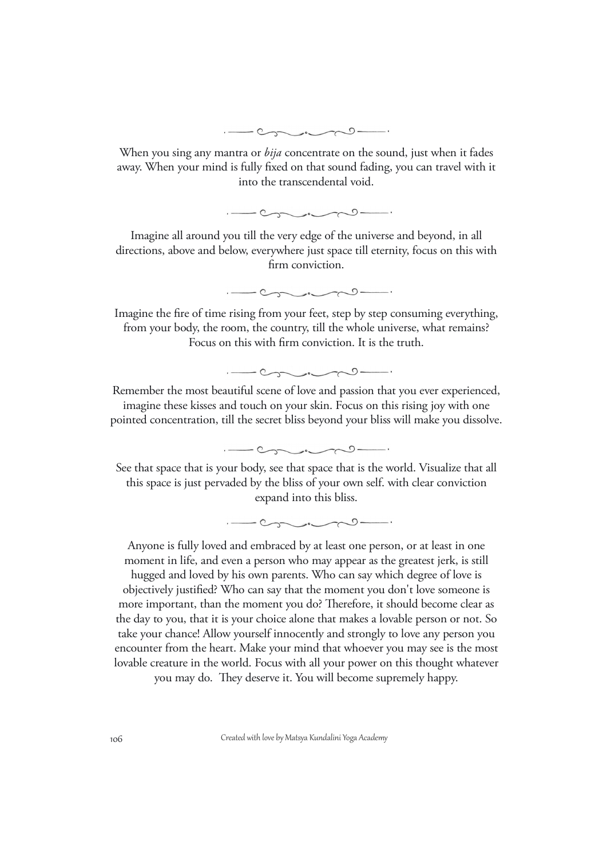

When you sing any mantra or *bija* concentrate on the sound, just when it fades away. When your mind is fully fixed on that sound fading, you can travel with it into the transcendental void.

 $-20$ 

Imagine all around you till the very edge of the universe and beyond, in all directions, above and below, everywhere just space till eternity, focus on this with firm conviction.

 $-20$ 

Imagine the fire of time rising from your feet, step by step consuming everything, from your body, the room, the country, till the whole universe, what remains? Focus on this with firm conviction. It is the truth.

 $\frac{1}{1-\frac{1}{1-\frac{1}{1-\frac{1}{1-\frac{1}{1-\frac{1}{1-\frac{1}{1-\frac{1}{1-\frac{1}{1-\frac{1}{1-\frac{1}{1-\frac{1}{1-\frac{1}{1-\frac{1}{1-\frac{1}{1-\frac{1}{1-\frac{1}{1-\frac{1}{1-\frac{1}{1-\frac{1}{1-\frac{1}{1-\frac{1}{1-\frac{1}{1-\frac{1}{1-\frac{1}{1-\frac{1}{1-\frac{1}{1-\frac{1}{1-\frac{1}{1-\frac{1}{1-\frac{1}{1-\frac{1}{1-\frac{1}{1-\frac{1}{1-\frac{1}{1-\frac{1}{1-\frac{1$ 

Remember the most beautiful scene of love and passion that you ever experienced, imagine these kisses and touch on your skin. Focus on this rising joy with one pointed concentration, till the secret bliss beyond your bliss will make you dissolve.

 $\frac{1}{1-\frac{1}{1-\frac{1}{1-\frac{1}{1-\frac{1}{1-\frac{1}{1-\frac{1}{1-\frac{1}{1-\frac{1}{1-\frac{1}{1-\frac{1}{1-\frac{1}{1-\frac{1}{1-\frac{1}{1-\frac{1}{1-\frac{1}{1-\frac{1}{1-\frac{1}{1-\frac{1}{1-\frac{1}{1-\frac{1}{1-\frac{1}{1-\frac{1}{1-\frac{1}{1-\frac{1}{1-\frac{1}{1-\frac{1}{1-\frac{1}{1-\frac{1}{1-\frac{1}{1-\frac{1}{1-\frac{1}{1-\frac{1}{1-\frac{1}{1-\frac{1}{1-\frac{1}{1-\frac{1$ 

See that space that is your body, see that space that is the world. Visualize that all this space is just pervaded by the bliss of your own self. with clear conviction expand into this bliss.

 $\frac{1}{1-\frac{1}{1-\frac{1}{1-\frac{1}{1-\frac{1}{1-\frac{1}{1-\frac{1}{1-\frac{1}{1-\frac{1}{1-\frac{1}{1-\frac{1}{1-\frac{1}{1-\frac{1}{1-\frac{1}{1-\frac{1}{1-\frac{1}{1-\frac{1}{1-\frac{1}{1-\frac{1}{1-\frac{1}{1-\frac{1}{1-\frac{1}{1-\frac{1}{1-\frac{1}{1-\frac{1}{1-\frac{1}{1-\frac{1}{1-\frac{1}{1-\frac{1}{1-\frac{1}{1-\frac{1}{1-\frac{1}{1-\frac{1}{1-\frac{1}{1-\frac{1}{1-\frac{1}{1-\frac{1$ 

Anyone is fully loved and embraced by at least one person, or at least in one moment in life, and even a person who may appear as the greatest jerk, is still hugged and loved by his own parents. Who can say which degree of love is objectively justified? Who can say that the moment you don't love someone is more important, than the moment you do? Therefore, it should become clear as the day to you, that it is your choice alone that makes a lovable person or not. So take your chance! Allow yourself innocently and strongly to love any person you encounter from the heart. Make your mind that whoever you may see is the most

lovable creature in the world. Focus with all your power on this thought whatever you may do. They deserve it. You will become supremely happy.